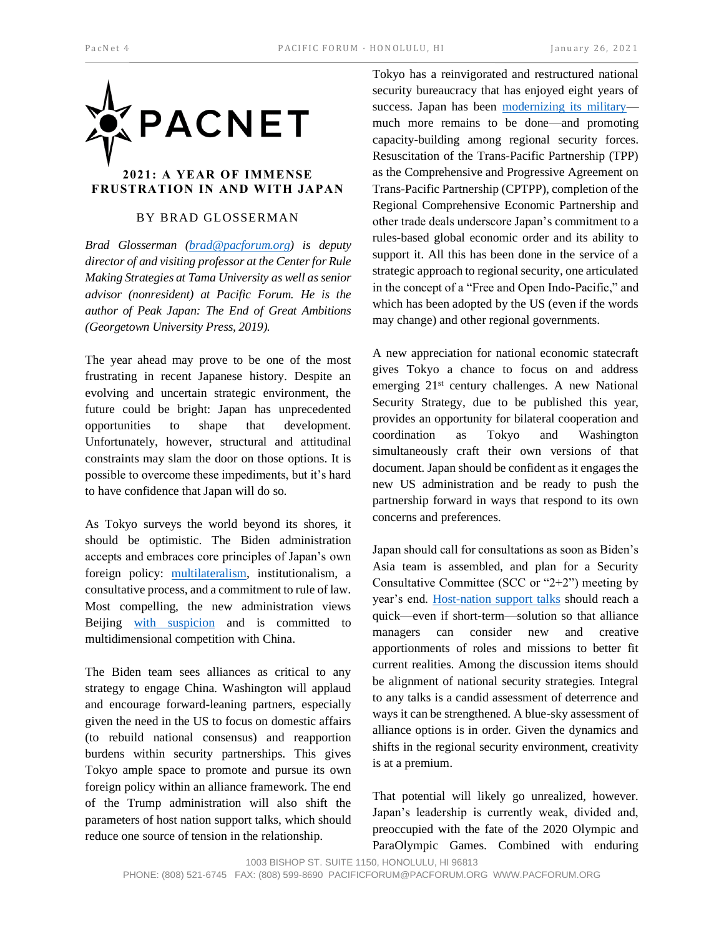

## **FRUSTRATION IN AND WITH JAPAN**

## BY BRAD GLOSSERMAN

*Brad Glosserman [\(brad@pacforum.org\)](mailto:brad@pacforum.org) is deputy director of and visiting professor at the Center for Rule Making Strategies at Tama University as well as senior advisor (nonresident) at Pacific Forum. He is the author of Peak Japan: The End of Great Ambitions (Georgetown University Press, 2019).*

The year ahead may prove to be one of the most frustrating in recent Japanese history. Despite an evolving and uncertain strategic environment, the future could be bright: Japan has unprecedented opportunities to shape that development. Unfortunately, however, structural and attitudinal constraints may slam the door on those options. It is possible to overcome these impediments, but it's hard to have confidence that Japan will do so.

As Tokyo surveys the world beyond its shores, it should be optimistic. The Biden administration accepts and embraces core principles of Japan's own foreign policy: [multilateralism,](https://www.washingtonpost.com/politics/2020/12/16/biden-promises-embrace-multilateralism-again-world-leaders-agree/) institutionalism, a consultative process, and a commitment to rule of law. Most compelling, the new administration views Beijing [with suspicion](https://news.yahoo.com/bidens-china-policy-just-assertive-132600961.html) and is committed to multidimensional competition with China.

The Biden team sees alliances as critical to any strategy to engage China. Washington will applaud and encourage forward-leaning partners, especially given the need in the US to focus on domestic affairs (to rebuild national consensus) and reapportion burdens within security partnerships. This gives Tokyo ample space to promote and pursue its own foreign policy within an alliance framework. The end of the Trump administration will also shift the parameters of host nation support talks, which should reduce one source of tension in the relationship.

Tokyo has a reinvigorated and restructured national security bureaucracy that has enjoyed eight years of success. Japan has been [modernizing its military](https://nationalinterest.org/blog/buzz/japan-modernizing-its-military-can-it-do-more-98952#:~:text=Japan%20is%20accelerating%20its%20military,its%20F%2D15J%20fighter%20aircraft.) much more remains to be done—and promoting capacity-building among regional security forces. Resuscitation of the Trans-Pacific Partnership (TPP) as the Comprehensive and Progressive Agreement on Trans-Pacific Partnership (CPTPP), completion of the Regional Comprehensive Economic Partnership and other trade deals underscore Japan's commitment to a rules-based global economic order and its ability to support it. All this has been done in the service of a strategic approach to regional security, one articulated in the concept of a "Free and Open Indo-Pacific," and which has been adopted by the US (even if the words may change) and other regional governments.

A new appreciation for national economic statecraft gives Tokyo a chance to focus on and address emerging 21<sup>st</sup> century challenges. A new National Security Strategy, due to be published this year, provides an opportunity for bilateral cooperation and coordination as Tokyo and Washington simultaneously craft their own versions of that document. Japan should be confident as it engages the new US administration and be ready to push the partnership forward in ways that respond to its own concerns and preferences.

Japan should call for consultations as soon as Biden's Asia team is assembled, and plan for a Security Consultative Committee (SCC or "2+2") meeting by year's end. [Host-nation support talks](https://asia.nikkei.com/Politics/International-relations/US-and-Japan-to-start-contentious-talks-over-host-nation-support) should reach a quick—even if short-term—solution so that alliance managers can consider new and creative apportionments of roles and missions to better fit current realities. Among the discussion items should be alignment of national security strategies. Integral to any talks is a candid assessment of deterrence and ways it can be strengthened. A blue-sky assessment of alliance options is in order. Given the dynamics and shifts in the regional security environment, creativity is at a premium.

That potential will likely go unrealized, however. Japan's leadership is currently weak, divided and, preoccupied with the fate of the 2020 Olympic and ParaOlympic Games. Combined with enduring